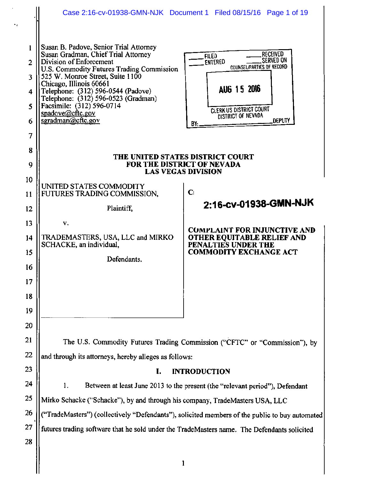|                                                 |                                                                                                                                                                                                                                                                                                                                                                         | Case 2:16-cv-01938-GMN-NJK Document 1 Filed 08/15/16 Page 1 of 19                                                                                                                                         |  |  |
|-------------------------------------------------|-------------------------------------------------------------------------------------------------------------------------------------------------------------------------------------------------------------------------------------------------------------------------------------------------------------------------------------------------------------------------|-----------------------------------------------------------------------------------------------------------------------------------------------------------------------------------------------------------|--|--|
| 1<br>$\mathbf{2}$<br>3<br>4<br>5<br>6<br>7<br>8 | Susan B. Padove, Senior Trial Attorney<br>Susan Gradman, Chief Trial Attorney<br>Division of Enforcement<br>U.S. Commodity Futures Trading Commission<br>525 W. Monroe Street, Suite 1100<br>Chicago, Illinois 60661<br>Telephone: (312) 596-0544 (Padove)<br>Telephone: (312) 596-0523 (Gradman)<br>Facsimile: (312) 596-0714<br>spadove@cftc.gov<br>sgradman@cftc.gov | <b>RECEIVED</b><br><b>FILED</b><br><b>SERVED ON</b><br><b>ENTERED</b><br><b>COUNSEL/PARTIES OF RECORD</b><br>AUG 15 2016<br><b>CLERK US DISTRICT COURT</b><br>DISTRICT OF NEVADA<br><b>DEPUTY</b><br>BY:. |  |  |
| 9                                               | THE UNITED STATES DISTRICT COURT<br>FOR THE DISTRICT OF NEVADA<br><b>LAS VEGAS DIVISION</b>                                                                                                                                                                                                                                                                             |                                                                                                                                                                                                           |  |  |
| 10<br>11                                        | UNITED STATES COMMODITY<br>FUTURES TRADING COMMISSION,                                                                                                                                                                                                                                                                                                                  | $\mathbf{C}$                                                                                                                                                                                              |  |  |
| 12                                              | Plaintiff,                                                                                                                                                                                                                                                                                                                                                              | 2:16-cv-01938-GMN-NJK                                                                                                                                                                                     |  |  |
| 13                                              | v.                                                                                                                                                                                                                                                                                                                                                                      |                                                                                                                                                                                                           |  |  |
| 14                                              | TRADEMASTERS, USA, LLC and MIRKO                                                                                                                                                                                                                                                                                                                                        | <b>COMPLAINT FOR INJUNCTIVE AND</b><br>OTHER EQUITABLE RELIEF AND                                                                                                                                         |  |  |
| 15                                              | SCHACKE, an individual,                                                                                                                                                                                                                                                                                                                                                 | PENALTIES UNDER THE<br><b>COMMODITY EXCHANGE ACT</b>                                                                                                                                                      |  |  |
| 16                                              | Defendants.                                                                                                                                                                                                                                                                                                                                                             |                                                                                                                                                                                                           |  |  |
| 17                                              |                                                                                                                                                                                                                                                                                                                                                                         |                                                                                                                                                                                                           |  |  |
| 18                                              |                                                                                                                                                                                                                                                                                                                                                                         |                                                                                                                                                                                                           |  |  |
| 19                                              |                                                                                                                                                                                                                                                                                                                                                                         |                                                                                                                                                                                                           |  |  |
| 20                                              |                                                                                                                                                                                                                                                                                                                                                                         |                                                                                                                                                                                                           |  |  |
| 21                                              |                                                                                                                                                                                                                                                                                                                                                                         | The U.S. Commodity Futures Trading Commission ("CFTC" or "Commission"), by                                                                                                                                |  |  |
| 22                                              | and through its attorneys, hereby alleges as follows:                                                                                                                                                                                                                                                                                                                   |                                                                                                                                                                                                           |  |  |
| 23                                              | I.<br><b>INTRODUCTION</b>                                                                                                                                                                                                                                                                                                                                               |                                                                                                                                                                                                           |  |  |
| 24                                              | 1.<br>Between at least June 2013 to the present (the "relevant period"), Defendant                                                                                                                                                                                                                                                                                      |                                                                                                                                                                                                           |  |  |
| 25                                              | Mirko Schacke ("Schacke"), by and through his company, TradeMasters USA, LLC                                                                                                                                                                                                                                                                                            |                                                                                                                                                                                                           |  |  |
| 26                                              | ("TradeMasters") (collectively "Defendants"), solicited members of the public to buy automated                                                                                                                                                                                                                                                                          |                                                                                                                                                                                                           |  |  |
| 27                                              | futures trading software that he sold under the TradeMasters name. The Defendants solicited                                                                                                                                                                                                                                                                             |                                                                                                                                                                                                           |  |  |
| 28                                              |                                                                                                                                                                                                                                                                                                                                                                         |                                                                                                                                                                                                           |  |  |
|                                                 | 1                                                                                                                                                                                                                                                                                                                                                                       |                                                                                                                                                                                                           |  |  |
|                                                 |                                                                                                                                                                                                                                                                                                                                                                         |                                                                                                                                                                                                           |  |  |

,,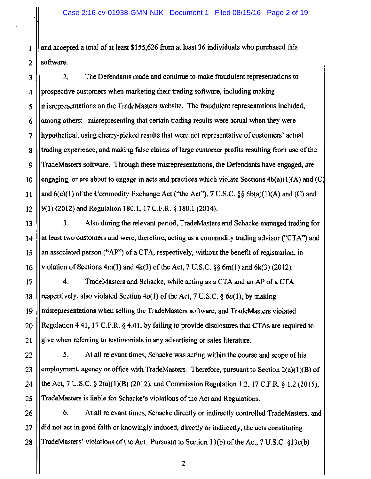1 and accepted a total of at least \$155,626 from at least 36 individuals who purchased this  $2$  | software.

3 4 5 6 7 8 9 10 11 12 2. The Defendants made and continue to make fraudulent representations to prospective customers when marketing their trading software, including making misrepresentations on the TradeMasters website. The fraudulent representations included, among others: misrepresenting that certain trading results were actual when they were hypothetical, using cherry-picked results that were not representative of customers' actual trading experience, and making false claims of large customer profits resulting from use of the TradeMasters software. Through these misrepresentations, the Defendants have engaged, are engaging, or are about to engage in acts and practices which violate Sections  $4b(a)(1)(A)$  and (C) and  $6(c)(1)$  of the Commodity Exchange Act ("the Act"), 7 U.S.C. §§  $6b(a)(1)(A)$  and (C) and 9(1)(2012) and Regulation 180.1, 17 C.F.R. § 180.l (2014).

3. Also during the relevant period, TradeMasters and Schacke managed trading for at least two customers and were, therefore, acting as a commodity trading advisor ("CTA") and an associated person ("AP") of a CTA, respectively, without the benefit of registration, in violation of Sections  $4m(1)$  and  $4k(3)$  of the Act, 7 U.S.C. §§ 6m(1) and 6k(3) (2012).

13

14

15

16

17

18

19

20

21

22

23

24

25

4. TradeMasters and Schacke, while acting as a CTA and an AP of a CTA respectively, also violated Section  $4o(1)$  of the Act, 7 U.S.C. §  $6o(1)$ , by making misrepresentations when selling the TradeMasters software, and TradeMasters violated Regulation 4.41, 17 C.F.R. § 4.41, by failing to provide disclosures that CTAs are required to give when referring to testimonials in any advertising or sales literature.

5. At all relevant times, Schacke was acting within the course and scope of his employment, agency or office with TradeMasters. Therefore, pursuant to Section  $2(a)(1)(B)$  of the Act, 7 U.S.C. § 2(a)(l)(B) (2012), and Commission Regulation 1.2, 17 C.F.R. § 1.2 (2015), TradeMasters is liable for Schacke's violations of the Act and Regulations.

26 27 28 6. At all relevant times, Schacke directly or indirectly controlled TradeMasters, and did not act in good faith or knowingly induced, directly or indirectly, the acts constituting TradeMasters' violations of the Act. Pursuant to Section 13(b) of the Act, 7 U.S.C. §13c(b)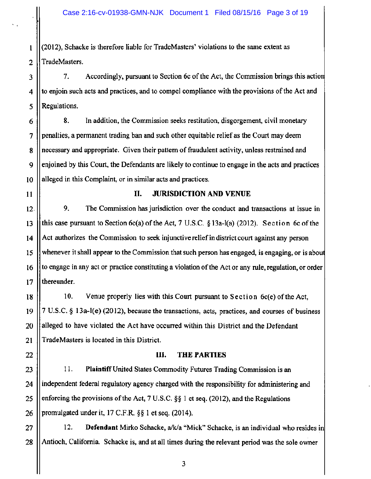1 (2012), Schacke is therefore liable for TradeMasters' violations to the same extent as 2 || TradeMasters.

3 | 7. Accordingly, pursuant to Section 6c of the Act, the Commission brings this action 4 to enjoin such acts and practices, and to compel compliance with the provisions of the Act and 5 || Regulations.

 $6 \parallel$  8. In addition, the Commission seeks restitution, disgorgement, civil monetary 7 penalties, a permanent trading ban and such other equitable relief as the Court may deem 8 || necessary and appropriate. Given their pattern of fraudulent activity, unless restrained and 9  $\parallel$  enjoined by this Court, the Defendants are likely to continue to engage in the acts and practices 10 || alleged in this Complaint, or in similar acts and practices.

22

## 11 || II. JURISDICTION AND VENUE

12. 9. The Commission has jurisdiction over the conduct and transactions at issue in 13 || this case pursuant to Section 6c(a) of the Act, 7 U.S.C.  $\S$  13a-l(a) (2012). Section 6c of the 14 Act authorizes the Commission to seek injunctive relief in district court against any person 15 whenever it shall appear to the Commission that such person has engaged, is engaging, or is abou 16 to engage in any act or practice constituting a violation of the Act or any rule, regulation, or order  $17$  || thereunder.

18 10. Venue properly lies with this Court pursuant to Section 6c(e) of the Act, 19  $\parallel$  7 U.S.C. § 13a-l(e) (2012), because the transactions, acts, practices, and courses of business 20 || alleged to have violated the Act have occurred within this District and the Defendant 21 || TradeMasters is located in this District.

## III. THE PARTIES

 $23$  || 11. Plaintiff United States Commodity Futures Trading Commission is an 24 | independent federal regulatory agency charged with the responsibility for administering and 25 | enforcing the provisions of the Act,  $7 \text{ U.S.C. }$  §§ 1 et seq. (2012), and the Regulations 26 || promulgated under it, 17 C.F.R.  $\S$ § 1 et seq. (2014).

27  $||$  12. Defendant Mirko Schacke, a/k/a "Mick" Schacke, is an individual who resides in 28 | Antioch, California. Schacke is, and at all times during the relevant period was the sole owner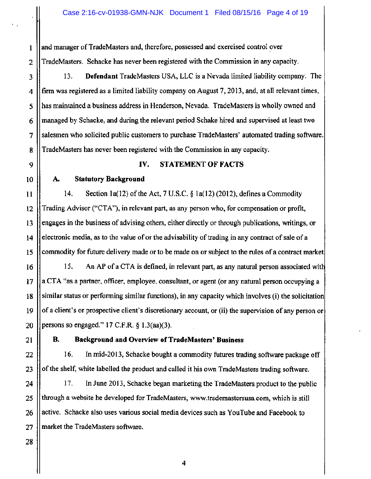$1$  | and manager of TradeMasters and, therefore, possessed and exercised control over 2 || TradeMasters. Schacke has never been registered with the Commission in any capacity.

3 13. Defendant TradeMasters USA, LLC is a Nevada limited liability company. The 4 firm was registered as a limited liability company on August 7, 2013, and, at all relevant times, 5 || has maintained a business address in Henderson, Nevada. TradeMasters is wholly owned and  $6$  || managed by Schacke, and during the relevant period Schake hired and supervised at least two 7 Salesmen who solicited public customers to purchase TradeMasters' automated trading software. 8 TradeMasters has never been registered with the Commission in any capacity.

# 9 || **IV. STATEMENT OF FACTS**

# 10 | A. Statutory Background

11  $||$  14. Section 1a(12) of the Act, 7 U.S.C. § 1a(12) (2012), defines a Commodity 15 Trading Advisor ("CTA"), in relevant part, as any person who, for compensation or profit, engages in the business of advising others, either directly or through publications, writings, or electronic media, as to the value of or the advisability of trading in any contract of sale of a commodity for future delivery made or to be made on or subject to the rules of a contract market

16 17 18 19 20 15. An AP of a CTA is defined, in relevant part, as any natural person associated wit a CTA "as a partner, officer, employee, consultant, or agent (or any natural person occupying a similar status or performing similar functions), in any capacity which involves (i) the solicitation of a client's or prospective client's discretionary account, or (ii) the supervision of any person or persons so engaged." 17 C.F.R. § l.3(aa)(3).

21

12

13

14

# B. Background and Overview of TradeMasters' Business

22 16. In mid-2013, Schacke bought a commodity futures trading software package off 23 | of the shelf, white labelled the product and called it his own TradeMasters trading software.

24 17. In June 2013, Schacke began marketing the TradeMasters product to the public 25 The model a website he developed for TradeMasters, www.trademastersusa.com, which is still 26 | active. Schacke also uses various social media devices such as YouTube and Facebook to  $27$  | market the TradeMasters software.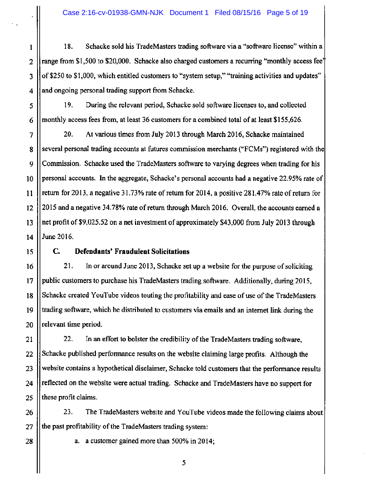1 | 18. Schacke sold his TradeMasters trading software via a "software license" within a  $2 \parallel$  range from \$1,500 to \$20,000. Schacke also charged customers a recurring "monthly access fee"  $3 \parallel$  of \$250 to \$1,000, which entitled customers to "system setup," "training activities and updates"  $4$  and ongoing personal trading support from Schacke.

5 19. During the relevant period, Schacke sold software licenses to, and collected  $6$  || monthly access fees from, at least 36 customers for a combined total of at least \$155,626.

7 20. At various times from July 2013 through March 2016, Schacke maintained 8 Several personal trading accounts at futures commission merchants ("FCMs") registered with the 9 Commission. Schacke used the TradeMasters software to varying degrees when trading for his 10 || personal accounts. In the aggregate, Schacke's personal accounts had a negative 22.95% rate of 11 return for 2013, a negative 31. 73% rate of return for 2014, a positive 281.4 7% rate of return for 12 2015 and a negative 34. 78% rate of return through March 2016. Overall, the accounts earned a 13 net profit of \$9,025.52 on a net investment of approximately \$43,000 from July 2013 through 14 June 2016.

## 15 C. **Defendants' Fraudulent Solicitations**

16 | 21. In or around June 2013, Schacke set up a website for the purpose of soliciting 17 public customers to purchase his TradeMasters trading software. Additionally, during 2015, 18 Schacke created Y ouTube videos touting the profitability and ease of use of the TradeMasters 19 trading software, which he distributed to customers via emails and an internet link during the  $20$  | relevant time period.

21 | 22. In an effort to bolster the credibility of the TradeMasters trading software, 22 Schacke published performance results on the website claiming large profits. Although the 23 | website contains a hypothetical disclaimer, Schacke told customers that the performance results 24 | reflected on the website were actual trading. Schacke and TradeMasters have no support for 25  $\parallel$  these profit claims.

26 | 23. The TradeMasters website and YouTube videos made the following claims about  $27$  || the past profitability of the TradeMasters trading system:

28  $\parallel$  a. a customer gained more than 500% in 2014;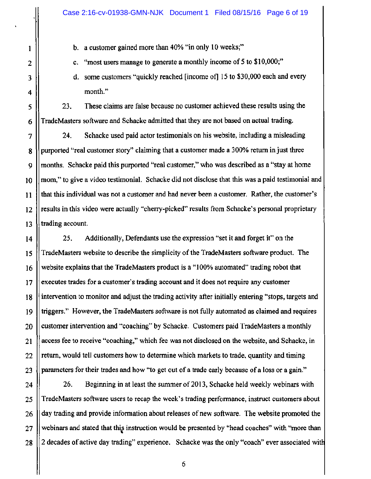b. a customer gained more than 40% "in only 10 weeks;"

1

2

3

4

5

6

c. "most users manage to generate a monthly income of 5 to \$10,000;"

d. some customers "quickly reached [income of] 15 to \$30,000 each and every month."

23. These claims are false because no customer achieved these results using the TradeMasters software and Schacke admitted that they are not based on actual trading.

7 8 9 10 11 12 13 24. Schacke used paid actor testimonials on his website, including a misleading purported "real customer story" claiming that a customer made a 300% return in just three months. Schacke paid this purported "real customer," who was described as a "stay at home mom," to give a video testimonial. Schacke did not disclose that this was a paid testimonial and that this individual was not a customer and had never been a customer. Rather, the customer's results in this video were actually "cherry-picked" results from Schacke's personal proprietary trading account.

14 15 16 17 18 19 20 21 22 23 25. Additionally, Defendants use the expression "set it and forget it" on the TradeMasters website to describe the simplicity of the TradeMasters software product. The website explains that the TradeMasters product is a "100% automated" trading robot that executes trades for a customer's trading account and it does not require any customer intervention to monitor and adjust the trading activity after initially entering "stops, targets and triggers." However, the TradeMasters software is not fully automated as claimed and requires customer intervention and "coaching" by Schacke. Customers paid TradeMasters a monthly access fee to receive "coaching," which fee was not disclosed on the website, and Schacke, in return, would tell customers how to determine which markets to trade, quantity and timing parameters for their trades and how "to get out of a trade early because of a loss or a gain."

24 25 26 27 28 26. Beginning in at least the summer of 2013, Schacke held weekly webinars with TradeMasters software users to recap the week's trading performance, instruct customers about day trading and provide information about releases of new software. The website promoted the webinars and stated that this instruction would be presented by "head coaches" with "more than 2 decades of active day trading" experience. Schacke was the only "coach" ever associated with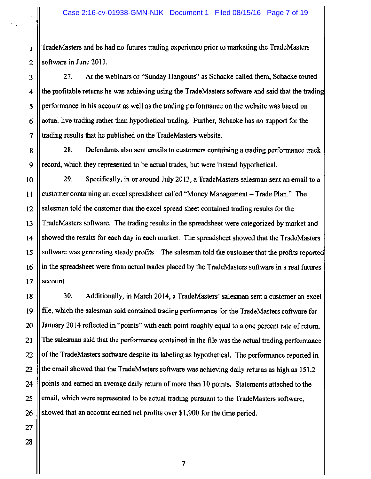1 TradeMasters and he had no futures trading experience prior to marketing the TradeMasters 2  $\parallel$  software in June 2013.

3 27. At the webinars or "Sunday Hangouts" as Schacke called them, Schacke touted  $4$  || the profitable returns he was achieving using the TradeMasters software and said that the trading 5 performance in his account as well as the trading performance on the website was based on  $6 \parallel$  actual live trading rather than hypothetical trading. Further, Schacke has no support for the 7 trading results that he published on the TradeMasters website.

8 28. Defendants also sent emails to customers containing a trading performance track 9 || record, which they represented to be actual trades, but were instead hypothetical.

10 || 29. Specifically, in or around July 2013, a TradeMasters salesman sent an email to a 11 customer containing an excel spreadsheet called "Money Management-Trade Plan." The 12 Salesman told the customer that the excel spread sheet contained trading results for the 13 TradeMasters software. The trading results in the spreadsheet were categorized by market and 14 Showed the results for each day in each market. The spreadsheet showed that the TradeMasters 15 S Is software was generating steady profits. The salesman told the customer that the profits reported 16 | in the spreadsheet were from actual trades placed by the TradeMasters software in a real futures  $17$  | account.

18 | 30. Additionally, in March 2014, a TradeMasters' salesman sent a customer an excel 19 file, which the salesman said contained trading performance for the TradeMasters software for 20 January 2014 reflected in "points" with each point roughly equal to a one percent rate of return. 21 The salesman said that the performance contained in the file was the actual trading performance  $22$  || of the TradeMasters software despite its labeling as hypothetical. The performance reported in 23 | the email showed that the TradeMasters software was achieving daily returns as high as 151.2 24 | points and earned an average daily return of more than 10 points. Statements attached to the 25 email, which were represented to be actual trading pursuant to the TradeMasters software, 26 Showed that an account earned net profits over \$1,900 for the time period.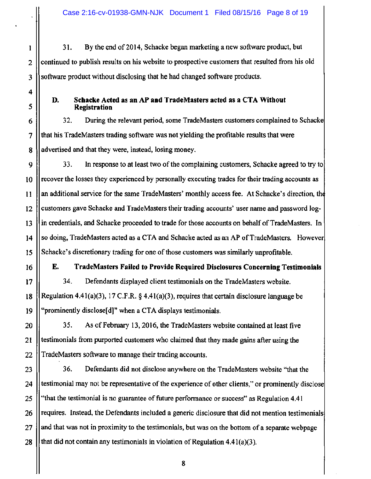1 31. By the end of 2014, Schacke began marketing a new software product, but 2 continued to publish results on his website to prospective customers that resulted from his old 3 Software product without disclosing that he had changed software products.

4

## D. Schacke Acted as an AP and TradeMasters acted as a CTA Without 5 Registration

6 1 32. During the relevant period, some TradeMasters customers complained to Schacke 7 that his TradeMasters trading software was not yielding the profitable results that were 8 advertised and that they were, instead, losing money.

9 9 33. In response to at least two of the complaining customers, Schacke agreed to try to 10 || recover the losses they experienced by personally executing trades for their trading accounts as 11 || an additional service for the same TradeMasters' monthly access fee. At Schacke's direction, the 12 customers gave Schacke and TradeMasters their trading accounts' user name and password log-13 in credentials, and Schacke proceeded to trade for those accounts on behalf of TradeMasters. In 14 | so doing, TradeMasters acted as a CTA and Schacke acted as an AP of TradeMasters. However 15 Schacke's discretionary trading for one of those customers was similarly unprofitable.

16 E. TradeMasters Failed to Provide Required Disclosures Concerning Testimonials

17 | 34. Defendants displayed client testimonials on the TradeMasters website. 18 || Regulation 4.41(a)(3), 17 C.F.R.  $\S$  4.41(a)(3), requires that certain disclosure language be 19 || "prominently disclose[d]" when a CTA displays testimonials.

20 **1** 35. As of February 13, 2016, the TradeMasters website contained at least five  $21$  || testimonials from purported customers who claimed that they made gains after using the 22 TradeMasters software to manage their trading accounts.

23 | 36. Defendants did not disclose anywhere on the TradeMasters website "that the 24 testimonial may not be representative of the experience of other clients," or prominently disclose 25  $\parallel$  "that the testimonial is no guarantee of future performance or success" as Regulation 4.41 26 || requires. Instead, the Defendants included a generic disclosure that did not mention testimonials 27 and that was not in proximity to the testimonials, but was on the bottom of a separate webpage 28 | that did not contain any testimonials in violation of Regulation 4.41(a)(3).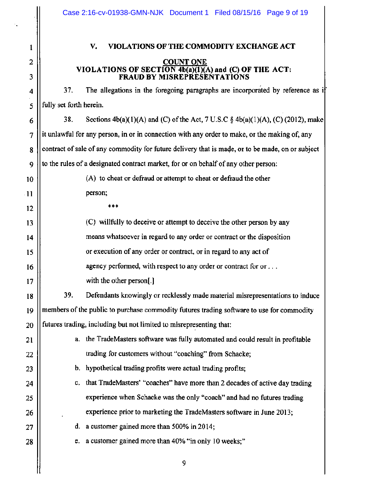| $\mathbf{l}$    |                   |
|-----------------|-------------------|
| $\overline{c}$  |                   |
| 3               |                   |
| $\frac{4}{1}$   |                   |
| 5               | ful               |
| 6               |                   |
| 7               | it ı              |
| 8               | CO <sub>1</sub>   |
| 9               | to $\overline{a}$ |
| 10              |                   |
| 11              |                   |
| $\overline{12}$ |                   |
| 13              |                   |
| 14              |                   |
| 15              |                   |
| 16              |                   |
| 17              |                   |
| 18              |                   |
| 19              | me                |
| 20              | fut               |
| 21              |                   |
| 22              |                   |
| 23              |                   |
| 24              |                   |
| 25              |                   |
| 26              |                   |
| 27              |                   |

╢

# **V. VIOLATIONS OF THE COMMODITY EXCHANGE ACT**

#### **COUNT ONE VIOLATIONS OF SECTION 4b(a)(l)(A) and (C) OF THE ACT: FRAUD BY MISREPRESENT A TIO NS**

4 37. The allegations in the foregoing paragraphs are incorporated by reference as if lly set forth herein.

38. Sections  $4b(a)(1)(A)$  and (C) of the Act, 7 U.S.C §  $4b(a)(1)(A)$ , (C) (2012), make in the unlawful for any person, in or in connection with any order to make, or the making of, any ntract of sale of any commodity for future delivery that is made, or to be made, on or subject the rules of a designated contract market, for or on behalf of any other person:

- (A) to cheat or defraud or attempt to cheat or defraud the other person;
	- \*\*\*

(C) willfully to deceive or attempt to deceive the other person by any means whatsoever in regard to any order or contract or the disposition or execution of any order or contract, or in regard to any act of agency performed, with respect to any order or contract for or ... with the other person[.]

39. Defendants knowingly or recklessly made material misrepresentations to induce embers of the public to purchase commodity futures trading software to use for commodity tures trading, including but not limited to misrepresenting that:

- a. the TradeMasters software was fully automated and could result in profitable trading for customers without "coaching" from Schacke;
	- b. hypothetical trading profits were actual trading profits;
	- c. that TradeMasters' "coaches" have more than 2 decades of active day trading experience when Schacke was the only "coach" and had no futures trading experience prior to marketing the TradeMasters software in June 2013;
	- d. a customer gained more than  $500\%$  in 2014;
- 28 || e. a customer gained more than 40% "in only 10 weeks;"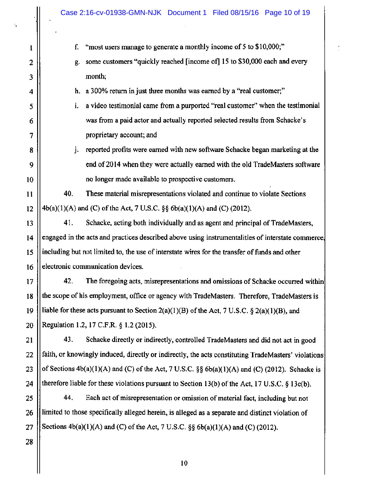|                | Case 2:16-cv-01938-GMN-NJK Document 1 Filed 08/15/16 Page 10 of 19                                  |  |
|----------------|-----------------------------------------------------------------------------------------------------|--|
|                |                                                                                                     |  |
| 1              | "most users manage to generate a monthly income of 5 to \$10,000;"<br>f.                            |  |
| $\overline{2}$ | some customers "quickly reached [income of] 15 to \$30,000 each and every<br>g.                     |  |
| 3              | month;                                                                                              |  |
| 4              | h. a 300% return in just three months was earned by a "real customer;"                              |  |
| 5              | a video testimonial came from a purported "real customer" when the testimonial<br>i.                |  |
| 6              | was from a paid actor and actually reported selected results from Schacke's                         |  |
| 7              | proprietary account; and                                                                            |  |
| 8              | reported profits were earned with new software Schacke began marketing at the<br>j.                 |  |
| 9              | end of 2014 when they were actually earned with the old TradeMasters software                       |  |
| 10             | no longer made available to prospective customers.                                                  |  |
| 11             | 40.<br>These material misrepresentations violated and continue to violate Sections                  |  |
| 12             | 4b(a)(1)(A) and (C) of the Act, 7 U.S.C. §§ 6b(a)(1)(A) and (C) (2012).                             |  |
| 13             | 41.<br>Schacke, acting both individually and as agent and principal of TradeMasters,                |  |
| 14             | engaged in the acts and practices described above using instrumentalities of interstate commerce,   |  |
| 15             | including but not limited to, the use of interstate wires for the transfer of funds and other       |  |
| 16             | electronic communication devices.                                                                   |  |
| 17             | 42.<br>The foregoing acts, misrepresentations and omissions of Schacke occurred within              |  |
| 18             | the scope of his employment, office or agency with TradeMasters. Therefore, TradeMasters is         |  |
| 19             | liable for these acts pursuant to Section 2(a)(1)(B) of the Act, 7 U.S.C. $\S$ 2(a)(1)(B), and      |  |
| 20             | Regulation 1.2, 17 C.F.R. § 1.2 (2015).                                                             |  |
| 21             | 43.<br>Schacke directly or indirectly, controlled TradeMasters and did not act in good              |  |
| 22             | faith, or knowingly induced, directly or indirectly, the acts constituting TradeMasters' violations |  |
| 23             | of Sections $4b(a)(1)(A)$ and (C) of the Act, 7 U.S.C. §§ $6b(a)(1)(A)$ and (C) (2012). Schacke is  |  |
| 24             | therefore liable for these violations pursuant to Section 13(b) of the Act, 17 U.S.C. § 13c(b).     |  |
| 25             | 44.<br>Each act of misrepresentation or omission of material fact, including but not                |  |
| 26             | limited to those specifically alleged herein, is alleged as a separate and distinct violation of    |  |
| 27             | Sections $4b(a)(1)(A)$ and (C) of the Act, 7 U.S.C. §§ $6b(a)(1)(A)$ and (C) (2012).                |  |
| 28             |                                                                                                     |  |
|                |                                                                                                     |  |

 $\frac{1}{\sqrt{2}}$ 

"

IJ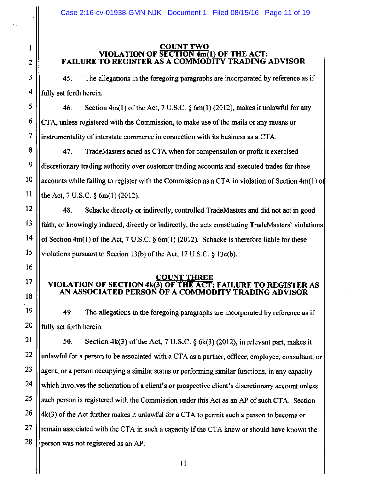### 1 COUNT TWO VIOLATION OF SECTION 4m(l) OF THE ACT: 2 || FAILURE TO REGISTER AS A COMMODITY TRADING ADVISOR

 $3 \parallel$  45. The allegations in the foregoing paragraphs are incorporated by reference as if  $4$  || fully set forth herein.

 $5 \parallel$  46. Section 4m(1) of the Act, 7 U.S.C. § 6m(1) (2012), makes it unlawful for any  $6 \parallel$  CTA, unless registered with the Commission, to make use of the mails or any means or 7 | instrumentality of interstate commerce in connection with its business as a CTA.

8 | 47. TradeMasters acted as CTA when for compensation or profit it exercised  $9 \parallel$  discretionary trading authority over customer trading accounts and executed trades for those  $10$  || accounts while failing to register with the Commission as a CTA in violation of Section 4m(1) of 11 the Act, 7 U.S.C.  $\S$  6m(1)(2012).

12 48. Schacke directly or indirectly, controlled TradeMasters and did not act in good 13 faith, or knowingly induced, directly or indirectly, the acts constituting TradeMasters' violations 14  $\parallel$  of Section 4m(1) of the Act, 7 U.S.C. § 6m(1) (2012). Schacke is therefore liable for these 15 || violations pursuant to Section 13(b) of the Act, 17 U.S.C.  $\S$  13c(b).

### <u>COUNT THREE</u><br>VIOLATION OF SECTION 4k(3) OF THE ACT: THE ACT: FAILURE TO REGISTER AS AN ASSOCIATED PERSON OF A COMMODITY TRADING ADVISOR

19  $\vert$  49. The allegations in the foregoing paragraphs are incorporated by reference as if  $20$  || fully set forth herein.

 $\parallel$  50. Section 4k(3) of the Act, 7 U.S.C. § 6k(3) (2012), in relevant part, makes it || unlawful for a person to be associated with a CTA as a partner, officer, employee, consultant, or  $\parallel$  agent, or a person occupying a similar status or performing similar functions, in any capacity 24 which involves the solicitation of a client's or prospective client's discretionary account unless || such person is registered with the Commission under this Act as an AP of such CTA. Section |  $4k(3)$  of the Act further makes it unlawful for a CTA to permit such a person to become or | remain associated with the CTA in such a capacity if the CTA knew or should have known the 28 person was not registered as an AP.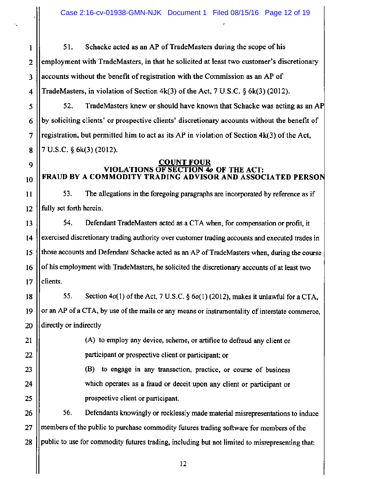1 | 51. Schacke acted as an AP of TradeMasters during the scope of his 2 employment with TradeMasters, in that he solicited at least two customer's discretionary 3 || accounts without the benefit of registration with the Commission as an AP of 4 TradeMasters, in violation of Section  $4k(3)$  of the Act, 7 U.S.C. § 6k(3) (2012).

52. TradeMasters knew or should have known that Schacke was acting as an AP by soliciting clients' or prospective clients' discretionary accounts without the benefit of registration, but permitted him to act as its AP in violation of Section 4k(3) of the Act, 7 u.s.c. § 6k(3) (2012).

5

6

7

8

9

10

11

## **COUNT FOUR<br>& VIOLATIONS OF SECTION VIOLATIONS OF SECTION** *4o* **OF THE ACT: FRAUD BY A COMMODITY TRADING ADVISOR AND ASSOCIATED PERSO**

53. The allegations in the foregoing paragraphs are incorporated by reference as if 12 fully set forth herein.

13 **1** 54. Defendant TradeMasters acted as a CTA when, for compensation or profit, it 14 | exercised discretionary trading authority over customer trading accounts and executed trades in 15 those accounts and Defendant Schacke acted as an AP of TradeMasters when, during the course 16 | of his employment with TradeMasters, he solicited the discretionary accounts of at least two  $17$  | clients.

18  $\vert$  55. Section 4 $o(1)$  of the Act, 7 U.S.C. § 6 $o(1)$  (2012), makes it unlawful for a CTA, 19  $\parallel$  or an AP of a CTA, by use of the mails or any means or instrumentality of interstate commerce, 20 **directly** or indirectly

21 (A) to employ any device, scheme, or artifice to defraud any client or 22 | participant or prospective client or participant; or

23 || (B) to engage in any transaction, practice, or course of business 24 || which operates as a fraud or deceit upon any client or participant or 25 || prospective client or participant.

26 | 56. Defendants knowingly or recklessly made material misrepresentations to induce 27 || members of the public to purchase commodity futures trading software for members of the 28 || public to use for commodity futures trading, including but not limited to misrepresenting that: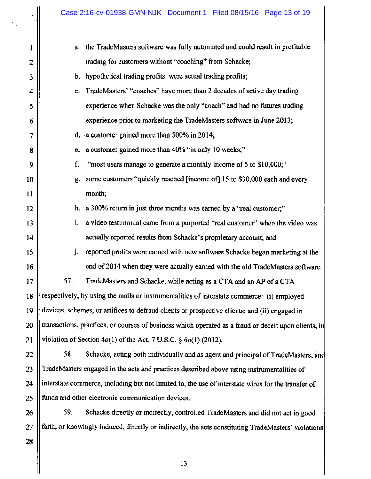| 1  | a. the TradeMasters software was fully automated and could result in profitable                      |  |
|----|------------------------------------------------------------------------------------------------------|--|
| 2  | trading for customers without "coaching" from Schacke;                                               |  |
| 3  | b. hypothetical trading profits were actual trading profits;                                         |  |
| 4  | TradeMasters' "coaches" have more than 2 decades of active day trading<br>$c_{\cdot}$                |  |
| 5  | experience when Schacke was the only "coach" and had no futures trading                              |  |
| 6  | experience prior to marketing the TradeMasters software in June 2013;                                |  |
| 7  | d. a customer gained more than $500\%$ in 2014;                                                      |  |
| 8  | a customer gained more than 40% "in only 10 weeks;"<br>e.                                            |  |
| 9  | f.<br>"most users manage to generate a monthly income of 5 to \$10,000;"                             |  |
| 10 | some customers "quickly reached [income of] 15 to \$30,000 each and every<br>g.                      |  |
| 11 | month;                                                                                               |  |
| 12 | a 300% return in just three months was earned by a "real customer;"<br>h.                            |  |
| 13 | a video testimonial came from a purported "real customer" when the video was<br>i.                   |  |
| 14 | actually reported results from Schacke's proprietary account; and                                    |  |
| 15 | j.<br>reported profits were earned with new software Schacke began marketing at the                  |  |
| 16 | end of 2014 when they were actually earned with the old TradeMasters software.                       |  |
| 17 | 57.<br>TradeMasters and Schacke, while acting as a CTA and an AP of a CTA                            |  |
| 18 | respectively, by using the mails or instrumentalities of interstate commerce: (i) employed           |  |
| 19 | devices, schemes, or artifices to defraud clients or prospective clients; and (ii) engaged in        |  |
| 20 | transactions, practices, or courses of business which operated as a fraud or deceit upon clients, in |  |
| 21 | violation of Section $4o(1)$ of the Act, 7 U.S.C. § $6o(1)$ (2012).                                  |  |
| 22 | 58.<br>Schacke, acting both individually and as agent and principal of TradeMasters, and             |  |
| 23 | TradeMasters engaged in the acts and practices described above using instrumentalities of            |  |
| 24 | interstate commerce, including but not limited to, the use of interstate wires for the transfer of   |  |
| 25 | funds and other electronic communication devices.                                                    |  |

26 27 59. Schacke directly or indirectly, controlled TradeMasters and did not act in good faith, or knowingly induced, directly or indirectly, the acts constituting TradeMasters' violations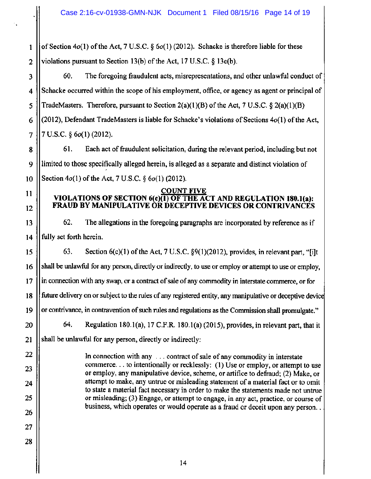1 | of Section  $4o(1)$  of the Act, 7 U.S.C. §  $6o(1)$  (2012). Schacke is therefore liable for these 2 || violations pursuant to Section 13(b) of the Act, 17 U.S.C.  $\S$  13 $e(b)$ .

3 | 60. The foregoing fraudulent acts, misrepresentations, and other unlawful conduct of 4 Schacke occurred within the scope of his employment, office, or agency as agent or principal of 5 || TradeMasters. Therefore, pursuant to Section  $2(a)(1)(B)$  of the Act, 7 U.S.C. §  $2(a)(1)(B)$ 6 (2012), Defendant TradeMasters is liable for Schacke's violations of Sections  $4o(1)$  of the Act,  $7 \parallel 7 \text{ U.S.C. } \S 6o(1)$  (2012).

61. Each act of fraudulent solicitation, during the relevant period, including but not limited to those specifically alleged herein, is alleged as a separate and distinct violation of Section  $4o(1)$  of the Act, 7 U.S.C.  $\S 6o(1)$  (2012).

### **COUNT FIVE VIOLATIONS OF SECTION 6(c)(l) OF THE ACT AND REGULATION 180.l(a): FRAUD BY MANIPULATIVE OR DECEPTIVE DEVICES OR CONTRIVANCES**

62. The allegations in the foregoing paragraphs are incorporated by reference as if 14 fully set forth herein.

15  $\parallel$  63. Section 6(c)(1) of the Act, 7 U.S.C. §9(1)(2012), provides, in relevant part, "[i]t 16 | shall be unlawful for any person, directly or indirectly, to use or employ or attempt to use or employ, 17 in connection with any swap, or a contract of sale of any commodity in interstate commerce, or for 18 future delivery on or subject to the rules of any registered entity, any manipulative or deceptive device 19 or contrivance, in contravention of such rules and regulations as the Commission shall promulgate." 64. Regulation 180.1(a), 17 C.F.R. 180.1(a) (2015), provides, in relevant part, that it shall be unlawful for any person, directly or indirectly: In connection with any ... contract of sale of any commodity in interstate

commerce ... to intentionally or recklessly: (1) Use or employ, or attempt to use or employ, any manipulative device, scheme, or artifice to defraud; (2) Make, or attempt to make, any untrue or misleading statement of a material fact or to omit to state a material fact necessary in order to make the statements made not untrue or misleading; (3) Engage, or attempt to engage, in any act, practice, or course of business, which operates or would operate as a fraud or deceit upon any person ..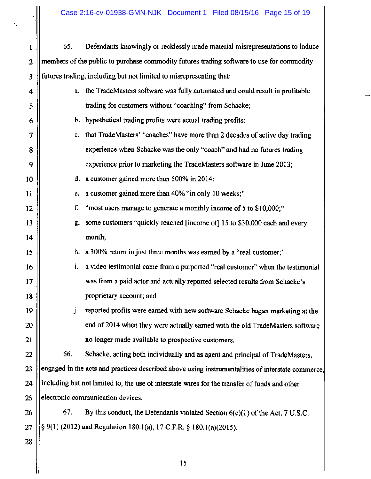| 1                       | 65.                                                                                               | Defendants knowingly or recklessly made material misrepresentations to induce   |  |  |
|-------------------------|---------------------------------------------------------------------------------------------------|---------------------------------------------------------------------------------|--|--|
| $\overline{2}$          | members of the public to purchase commodity futures trading software to use for commodity         |                                                                                 |  |  |
| $\overline{\mathbf{3}}$ |                                                                                                   | futures trading, including but not limited to misrepresenting that:             |  |  |
| 4                       | a.                                                                                                | the TradeMasters software was fully automated and could result in profitable    |  |  |
| 5                       |                                                                                                   | trading for customers without "coaching" from Schacke;                          |  |  |
| 6                       |                                                                                                   | b. hypothetical trading profits were actual trading profits;                    |  |  |
| 7                       | c.                                                                                                | that TradeMasters' "coaches" have more than 2 decades of active day trading     |  |  |
| 8                       |                                                                                                   | experience when Schacke was the only "coach" and had no futures trading         |  |  |
| 9                       |                                                                                                   | experience prior to marketing the TradeMasters software in June 2013;           |  |  |
| 10                      | d.                                                                                                | a customer gained more than 500% in 2014;                                       |  |  |
| 11                      | e.                                                                                                | a customer gained more than 40% "in only 10 weeks;"                             |  |  |
| 12                      | f.                                                                                                | "most users manage to generate a monthly income of 5 to \$10,000;"              |  |  |
| 13                      | g.                                                                                                | some customers "quickly reached [income of] 15 to \$30,000 each and every       |  |  |
| 14                      |                                                                                                   | month;                                                                          |  |  |
| 15                      |                                                                                                   | h. a 300% return in just three months was earned by a "real customer;"          |  |  |
| 16                      | i.                                                                                                | a video testimonial came from a purported "real customer" when the testimonial  |  |  |
| 17                      |                                                                                                   | was from a paid actor and actually reported selected results from Schacke's     |  |  |
| 18                      |                                                                                                   | proprietary account; and                                                        |  |  |
| 19                      |                                                                                                   | reported profits were earned with new software Schacke began marketing at the   |  |  |
| 20                      |                                                                                                   | end of 2014 when they were actually earned with the old TradeMasters software   |  |  |
| 21                      |                                                                                                   | no longer made available to prospective customers.                              |  |  |
| 22                      | 66.                                                                                               | Schacke, acting both individually and as agent and principal of TradeMasters,   |  |  |
| 23                      | engaged in the acts and practices described above using instrumentalities of interstate commerce, |                                                                                 |  |  |
| 24                      | including but not limited to, the use of interstate wires for the transfer of funds and other     |                                                                                 |  |  |
| 25                      | electronic communication devices.                                                                 |                                                                                 |  |  |
| 26                      | 67.                                                                                               | By this conduct, the Defendants violated Section $6(c)(1)$ of the Act, 7 U.S.C. |  |  |
| 27                      | § 9(1) (2012) and Regulation 180.1(a), 17 C.F.R. § 180.1(a)(2015).                                |                                                                                 |  |  |
| 28                      |                                                                                                   |                                                                                 |  |  |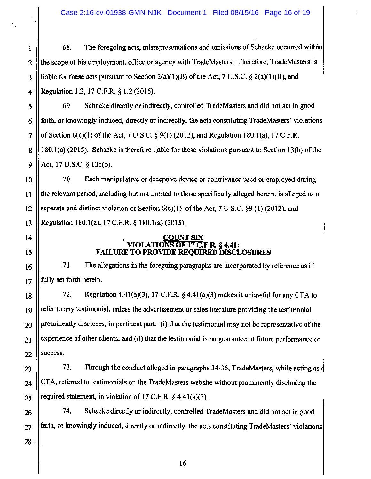Case 2:16-cv-01938-GMN-NJK Document 1 Filed 08/15/16 Page 16 of 19

1 68. The foregoing acts, misrepresentations and omissions of Schacke occurred within 2 the scope of his employment, office or agency with TradeMasters. Therefore, TradeMasters is 3 | liable for these acts pursuant to Section  $2(a)(1)(B)$  of the Act, 7 U.S.C. §  $2(a)(1)(B)$ , and 4· Regulation 1.2, 17 C.F.R. § 1.2 (2015).

5 69. Schacke directly or indirectly, controlled TradeMasters and did not act in good  $6$  || faith, or knowingly induced, directly or indirectly, the acts constituting TradeMasters' violations 7  $\parallel$  of Section 6(c)(1) of the Act, 7 U.S.C. § 9(1) (2012), and Regulation 180.1(a), 17 C.F.R. 8 || 180.1(a) (2015). Schacke is therefore liable for these violations pursuant to Section 13(b) of the 9  $|$  Act, 17 U.S.C. § 13c(b).

10 | 70. Each manipulative or deceptive device or contrivance used or employed during 11 the relevant period, including but not limited to those specifically alleged herein, is alleged as a 12 Separate and distinct violation of Section  $6(c)(1)$  of the Act, 7 U.S.C. §9 (1) (2012), and 13 Regulation 180.l(a), 17 C.F.R. § 180.l(a) (2015).

#### 14 || COUNT SIX VIOLATIONS OF 17 C.F.R. § 4.41: 15 || FAILURE TO PROVIDE REQUIRED DISCLOSURES

16 || 71. The allegations in the foregoing paragraphs are incorporated by reference as if  $17$  || fully set forth herein.

 $\parallel$  72. Regulation 4.41(a)(3), 17 C.F.R. § 4.41(a)(3) makes it unlawful for any CTA to || refer to any testimonial, unless the advertisement or sales literature providing the testimonial || prominently discloses, in pertinent part: (i) that the testimonial may not be representative of the experience of other clients; and (ii) that the testimonial is no guarantee of future performance or || success.

 $23$  || 73. Through the conduct alleged in paragraphs 34-36, TradeMasters, while acting as a  $24$  CTA, referred to testimonials on the TradeMasters website without prominently disclosing the  $25$  || required statement, in violation of 17 C.F.R. § 4.41(a)(3).

 $26$  ||  $\,$  74. Schacke directly or indirectly, controlled TradeMasters and did not act in good  $27$  || faith, or knowingly induced, directly or indirectly, the acts constituting TradeMasters' violations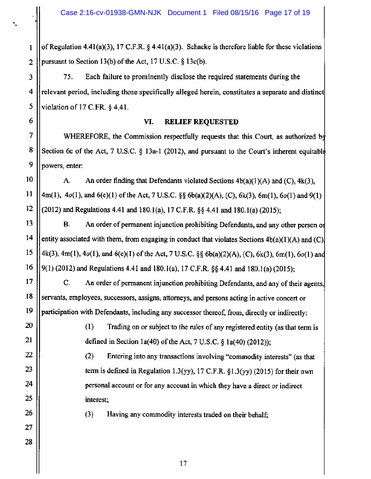1  $\vert\vert$  of Regulation 4.41(a)(3), 17 C.F.R. § 4.41(a)(3). Schacke is therefore liable for these violations 2 || pursuant to Section 13(b) of the Act, 17 U.S.C.  $\S$  13c(b).

3 | 75. Each failure to prominently disclose the required statements during the 4 relevant period, including those specifically alleged herein, constitutes a separate and distinct 5 Violation of 17 C.FR.  $\delta$  4.41.

## **VI. RELIEF REQUESTED**

WHEREFORE, the Commission respectfully requests that this Court, as authorized by Section 6c of the Act, 7 U.S.C. § 13a-1 (2012), and pursuant to the Court's inherent equitable powers, enter:

10 11 12 A. An order finding that Defendants violated Sections  $4b(a)(1)(A)$  and  $(C)$ ,  $4k(3)$ , 4m(1),  $4o(1)$ , and  $6(c)(1)$  of the Act, 7 U.S.C. §§  $6b(a)(2)(A)$ , (C),  $6k(3)$ ,  $6m(1)$ ,  $6o(1)$  and  $9(1)$ (2012) and Regulations 4.41 and 180.1(a), 17 C.F.R. §§ 4.41 and 180.1(a) (2015);

13 14 15 16 B. An order of permanent injunction prohibiting Defendants, and any other person of entity associated with them, from engaging in conduct that violates Sections  $4b(a)(1)(A)$  and  $(C)$ 4k(3), 4m(l), 4o(l), and 6(c)(l) of the Act, 7 U.S.C. §§ 6b(a)(2)(A), (C), 6k(3), 6m(l), 6o(l) an 9(1) (2012) and Regulations 4.41and180.l(a), 17 C.F.R. §§ 4.41 and 180.l(a) (2015);

C. An order of permanent injunction prohibiting Defendants, and any of their agents, servants, employees, successors, assigns, attorneys, and persons acting in active concert or participation with Defendants, including any successor thereof, from, directly or indirectly:

> ( 1) Trading on or subject to the rules of any registered entity (as that term is defined in Section 1a(40) of the Act, 7 U.S.C.  $\S$  1a(40) (2012));

(2) Entering into any transactions involving "commodity interests" (as that term is defined in Regulation 1.3(yy), 17 C.F.R.  $\S 1.3$ (yy) (2015) for their own personal account or for any account in which they have a direct or indirect interest;

(3) Having any commodity interests traded on their behalf;

6

7

8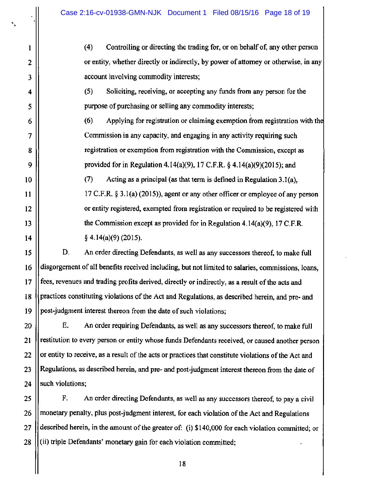. •

1

2

3

4

5

6

7

8

9

10

11

12

13

14

(4) Controlling or directing the trading for, or on behalf of, any other person or entity, whether directly or indirectly, by power of attorney or otherwise, in any account involving commodity interests;

(5) Soliciting, receiving, or accepting any funds from any person for the purpose of purchasing or selling any commodity interests;

 $(6)$  Applying for registration or claiming exemption from registration with the Commission in any capacity, and engaging in any activity requiring such registration or exemption from registration with the Commission, except as provided for in Regulation 4.14(a)(9), 17 C.F.R. *§* 4.14(a)(9)(2015); and

(7) Acting as a principal (as that term is defined in Regulation 3.l(a), 17 C.F.R. *§* 3.l(a) (2015)), agent or any other officer or employee of any person or entity registered, exempted from registration or required to be registered with the Commission except as provided for in Regulation 4.14(a)(9), 17 C.F.R.  $§ 4.14(a)(9) (2015).$ 

 $15 \parallel$  D. An order directing Defendants, as well as any successors thereof, to make full 16 disgorgement of all benefits received including, but not limited to salaries, commissions, loans, 17 || fees, revenues and trading profits derived, directly or indirectly, as a result of the acts and 18 Upractices constituting violations of the Act and Regulations, as described herein, and pre- and 19  $\parallel$  post-judgment interest thereon from the date of such violations;

20 E. An order requiring Defendants, as well as any successors thereof, to make full 21 Il restitution to every person or entity whose funds Defendants received, or caused another person  $22$  || or entity to receive, as a result of the acts or practices that constitute violations of the Act and 23 Regulations, as described herein, and pre- and post-judgment interest thereon from the date of 24  $\parallel$  such violations:

25 F. An order directing Defendants, as well as any successors thereof, to pay a civil 26 | monetary penalty, plus post-judgment interest, for each violation of the Act and Regulations 27 described herein, in the amount of the greater of: (i) \$140,000 for each violation committed; or 28 (ii) triple Defendants' monetary gain for each violation committed;